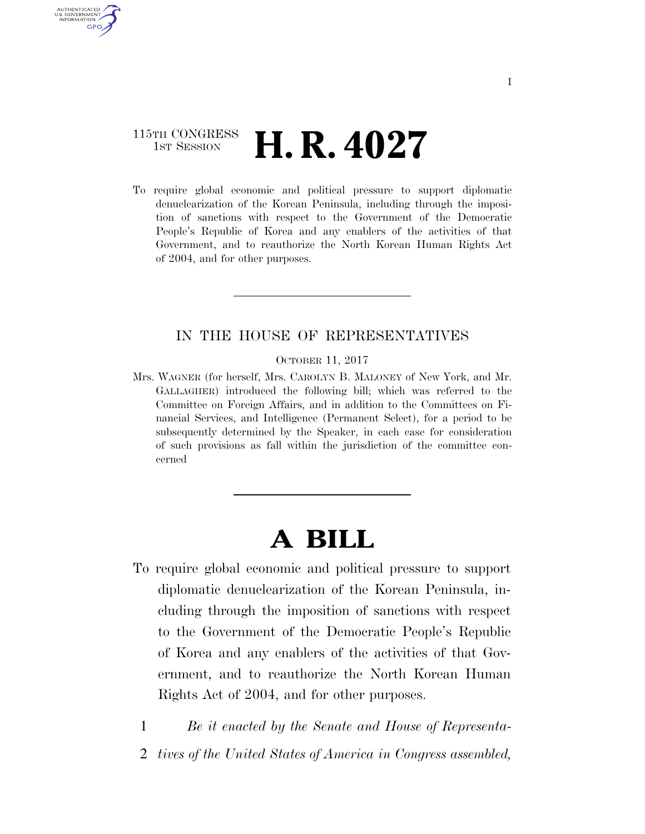## 115TH CONGRESS  $\frac{1}{15T}$  Session **H. R. 4027**

AUTHENTICATED U.S. GOVERNMENT GPO

> To require global economic and political pressure to support diplomatic denuclearization of the Korean Peninsula, including through the imposition of sanctions with respect to the Government of the Democratic People's Republic of Korea and any enablers of the activities of that Government, and to reauthorize the North Korean Human Rights Act of 2004, and for other purposes.

### IN THE HOUSE OF REPRESENTATIVES

OCTOBER 11, 2017

Mrs. WAGNER (for herself, Mrs. CAROLYN B. MALONEY of New York, and Mr. GALLAGHER) introduced the following bill; which was referred to the Committee on Foreign Affairs, and in addition to the Committees on Financial Services, and Intelligence (Permanent Select), for a period to be subsequently determined by the Speaker, in each case for consideration of such provisions as fall within the jurisdiction of the committee concerned

# **A BILL**

To require global economic and political pressure to support diplomatic denuclearization of the Korean Peninsula, including through the imposition of sanctions with respect to the Government of the Democratic People's Republic of Korea and any enablers of the activities of that Government, and to reauthorize the North Korean Human Rights Act of 2004, and for other purposes.

1 *Be it enacted by the Senate and House of Representa-*

2 *tives of the United States of America in Congress assembled,*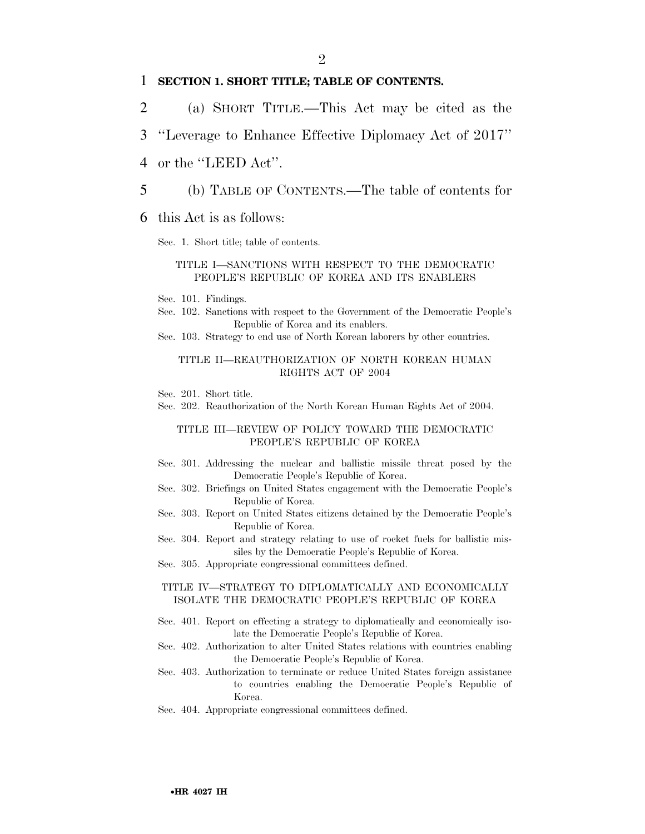### 1 **SECTION 1. SHORT TITLE; TABLE OF CONTENTS.**

- 2 (a) SHORT TITLE.—This Act may be cited as the
- 3 ''Leverage to Enhance Effective Diplomacy Act of 2017''
- 4 or the "LEED Act".
- 5 (b) TABLE OF CONTENTS.—The table of contents for
- 6 this Act is as follows:
	- Sec. 1. Short title; table of contents.

#### TITLE I—SANCTIONS WITH RESPECT TO THE DEMOCRATIC PEOPLE'S REPUBLIC OF KOREA AND ITS ENABLERS

- Sec. 101. Findings.
- Sec. 102. Sanctions with respect to the Government of the Democratic People's Republic of Korea and its enablers.
- Sec. 103. Strategy to end use of North Korean laborers by other countries.

### TITLE II—REAUTHORIZATION OF NORTH KOREAN HUMAN RIGHTS ACT OF 2004

- Sec. 201. Short title.
- Sec. 202. Reauthorization of the North Korean Human Rights Act of 2004.

### TITLE III—REVIEW OF POLICY TOWARD THE DEMOCRATIC PEOPLE'S REPUBLIC OF KOREA

- Sec. 301. Addressing the nuclear and ballistic missile threat posed by the Democratic People's Republic of Korea.
- Sec. 302. Briefings on United States engagement with the Democratic People's Republic of Korea.
- Sec. 303. Report on United States citizens detained by the Democratic People's Republic of Korea.
- Sec. 304. Report and strategy relating to use of rocket fuels for ballistic missiles by the Democratic People's Republic of Korea.
- Sec. 305. Appropriate congressional committees defined.

#### TITLE IV—STRATEGY TO DIPLOMATICALLY AND ECONOMICALLY ISOLATE THE DEMOCRATIC PEOPLE'S REPUBLIC OF KOREA

- Sec. 401. Report on effecting a strategy to diplomatically and economically isolate the Democratic People's Republic of Korea.
- Sec. 402. Authorization to alter United States relations with countries enabling the Democratic People's Republic of Korea.
- Sec. 403. Authorization to terminate or reduce United States foreign assistance to countries enabling the Democratic People's Republic of Korea.
- Sec. 404. Appropriate congressional committees defined.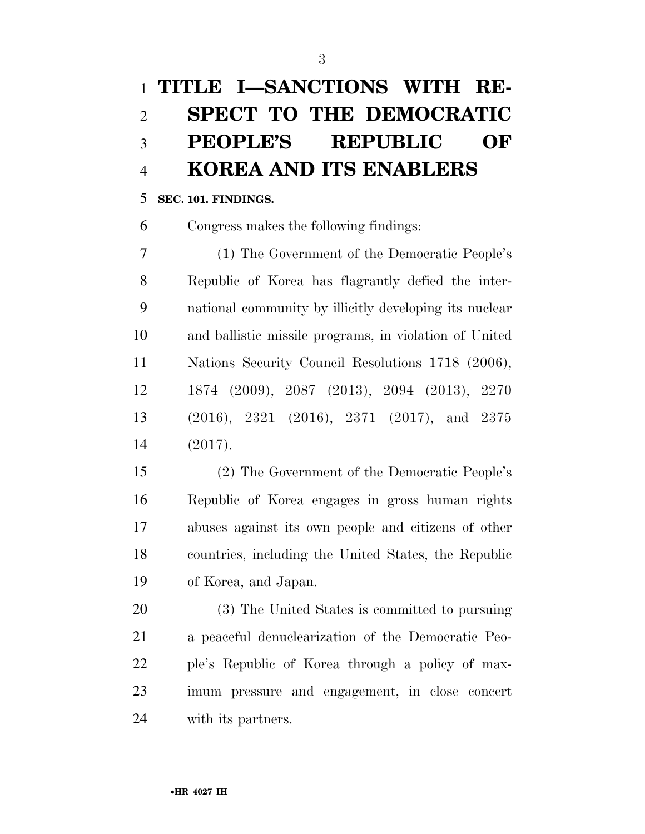# **PEOPLE'S REPUBLIC OF KOREA AND ITS ENABLERS**

### **SEC. 101. FINDINGS.**

Congress makes the following findings:

 (1) The Government of the Democratic People's Republic of Korea has flagrantly defied the inter- national community by illicitly developing its nuclear and ballistic missile programs, in violation of United Nations Security Council Resolutions 1718 (2006), 1874 (2009), 2087 (2013), 2094 (2013), 2270 (2016), 2321 (2016), 2371 (2017), and 2375 (2017).

 (2) The Government of the Democratic People's Republic of Korea engages in gross human rights abuses against its own people and citizens of other countries, including the United States, the Republic of Korea, and Japan.

 (3) The United States is committed to pursuing a peaceful denuclearization of the Democratic Peo- ple's Republic of Korea through a policy of max- imum pressure and engagement, in close concert with its partners.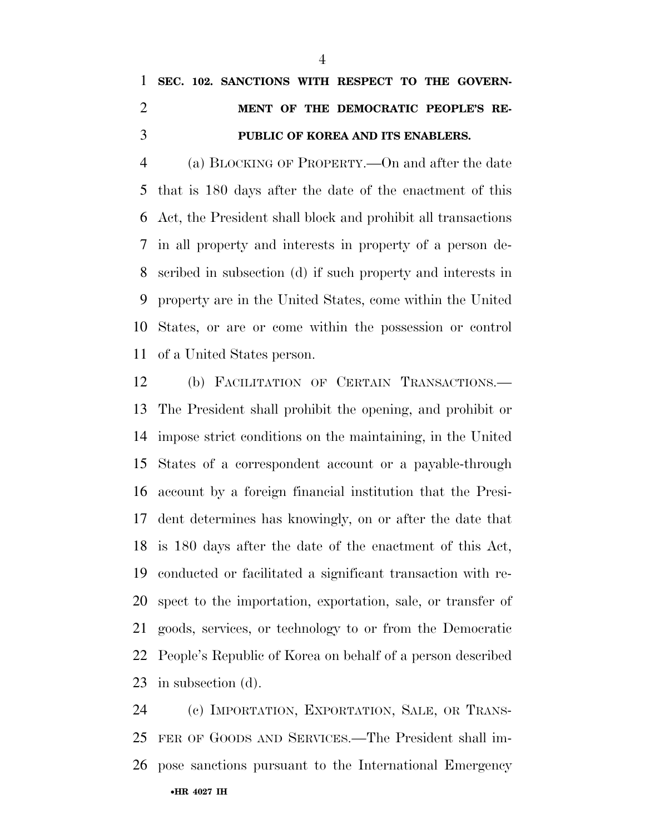## **SEC. 102. SANCTIONS WITH RESPECT TO THE GOVERN- MENT OF THE DEMOCRATIC PEOPLE'S RE-PUBLIC OF KOREA AND ITS ENABLERS.**

 (a) BLOCKING OF PROPERTY.—On and after the date that is 180 days after the date of the enactment of this Act, the President shall block and prohibit all transactions in all property and interests in property of a person de- scribed in subsection (d) if such property and interests in property are in the United States, come within the United States, or are or come within the possession or control of a United States person.

 (b) FACILITATION OF CERTAIN TRANSACTIONS.— The President shall prohibit the opening, and prohibit or impose strict conditions on the maintaining, in the United States of a correspondent account or a payable-through account by a foreign financial institution that the Presi- dent determines has knowingly, on or after the date that is 180 days after the date of the enactment of this Act, conducted or facilitated a significant transaction with re- spect to the importation, exportation, sale, or transfer of goods, services, or technology to or from the Democratic People's Republic of Korea on behalf of a person described in subsection (d).

•**HR 4027 IH** (c) IMPORTATION, EXPORTATION, SALE, OR TRANS- FER OF GOODS AND SERVICES.—The President shall im-pose sanctions pursuant to the International Emergency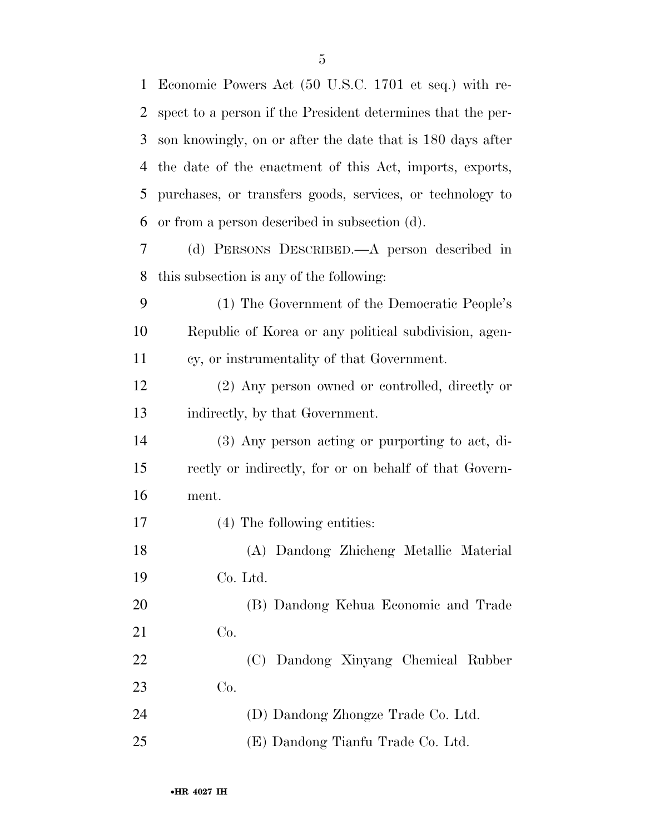| $\mathbf{1}$ | Economic Powers Act (50 U.S.C. 1701 et seq.) with re-       |
|--------------|-------------------------------------------------------------|
| 2            | spect to a person if the President determines that the per- |
| 3            | son knowingly, on or after the date that is 180 days after  |
| 4            | the date of the enactment of this Act, imports, exports,    |
| 5            | purchases, or transfers goods, services, or technology to   |
| 6            | or from a person described in subsection (d).               |
| 7            | (d) PERSONS DESCRIBED.—A person described in                |
| 8            | this subsection is any of the following:                    |
| 9            | (1) The Government of the Democratic People's               |
| 10           | Republic of Korea or any political subdivision, agen-       |
| 11           | cy, or instrumentality of that Government.                  |
| 12           | (2) Any person owned or controlled, directly or             |
| 13           | indirectly, by that Government.                             |
| 14           | (3) Any person acting or purporting to act, di-             |
| 15           | rectly or indirectly, for or on behalf of that Govern-      |
| 16           | ment.                                                       |
| 17           | (4) The following entities:                                 |
| 18           | (A) Dandong Zhicheng Metallic Material                      |
| 19           | Co. Ltd.                                                    |
| 20           | (B) Dandong Kehua Economic and Trade                        |
| 21           | Co.                                                         |
| 22           | (C) Dandong Xinyang Chemical Rubber                         |
| 23           | Co.                                                         |
| 24           | (D) Dandong Zhongze Trade Co. Ltd.                          |
| 25           | (E) Dandong Tianfu Trade Co. Ltd.                           |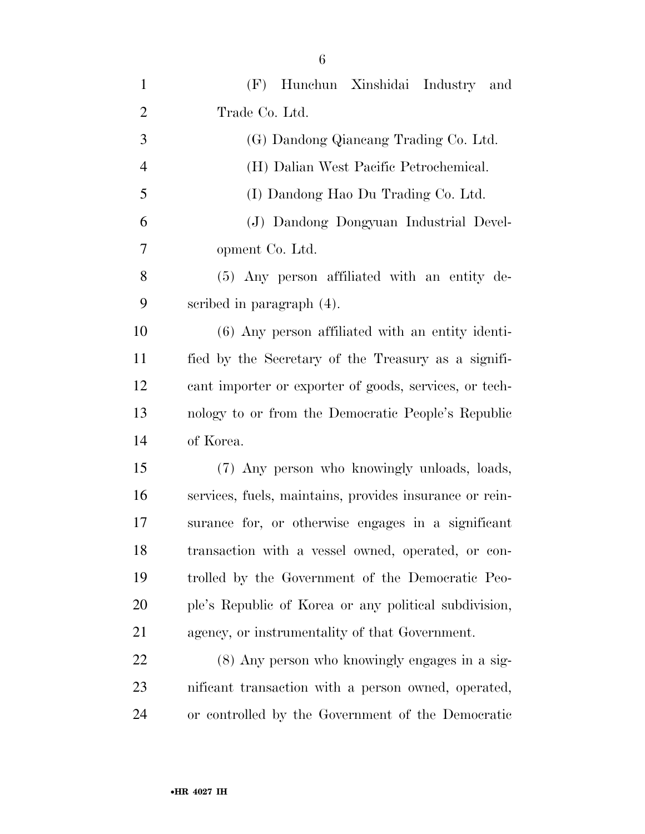| $\mathbf{1}$   | (F) Hunchun Xinshidai Industry and                      |
|----------------|---------------------------------------------------------|
| $\mathfrak{2}$ | Trade Co. Ltd.                                          |
| 3              | (G) Dandong Qiancang Trading Co. Ltd.                   |
| $\overline{4}$ | (H) Dalian West Pacific Petrochemical.                  |
| 5              | (I) Dandong Hao Du Trading Co. Ltd.                     |
| 6              | (J) Dandong Dongyuan Industrial Devel-                  |
| 7              | opment Co. Ltd.                                         |
| 8              | (5) Any person affiliated with an entity de-            |
| 9              | scribed in paragraph $(4)$ .                            |
| 10             | (6) Any person affiliated with an entity identi-        |
| 11             | fied by the Secretary of the Treasury as a signifi-     |
| 12             | cant importer or exporter of goods, services, or tech-  |
| 13             | nology to or from the Democratic People's Republic      |
| 14             | of Korea.                                               |
| 15             | (7) Any person who knowingly unloads, loads,            |
| 16             | services, fuels, maintains, provides insurance or rein- |
| 17             | surance for, or otherwise engages in a significant      |
| 18             | transaction with a vessel owned, operated, or con-      |
| 19             | trolled by the Government of the Democratic Peo-        |
| 20             | ple's Republic of Korea or any political subdivision,   |
| 21             | agency, or instrumentality of that Government.          |
| 22             | (8) Any person who knowingly engages in a sig-          |
| 23             | nificant transaction with a person owned, operated,     |
| 24             | or controlled by the Government of the Democratic       |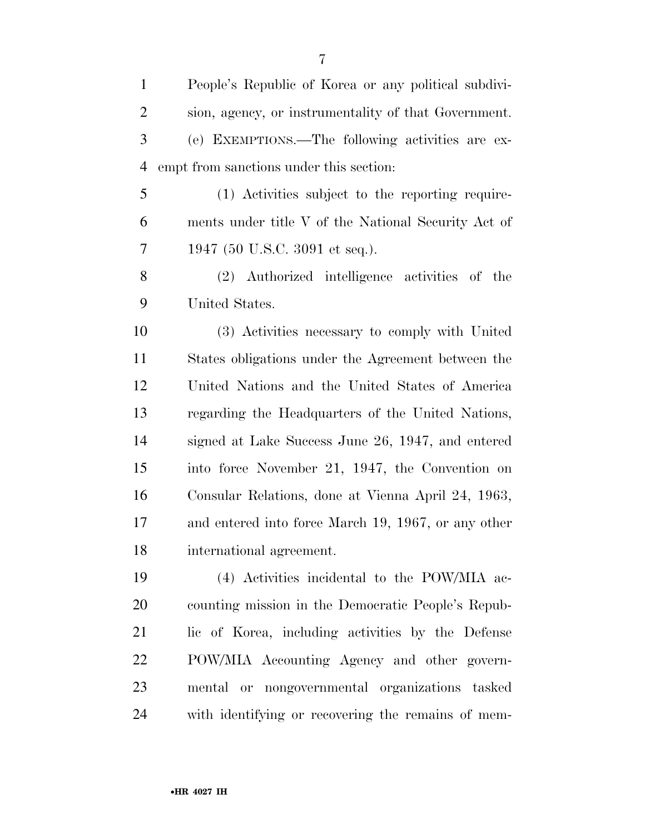| $\mathbf{1}$   | People's Republic of Korea or any political subdivi- |
|----------------|------------------------------------------------------|
| $\overline{2}$ | sion, agency, or instrumentality of that Government. |
| 3              | (e) EXEMPTIONS.—The following activities are ex-     |
| $\overline{4}$ | empt from sanctions under this section:              |
| 5              | (1) Activities subject to the reporting require-     |
| 6              | ments under title V of the National Security Act of  |
| 7              | 1947 (50 U.S.C. 3091 et seq.).                       |
| 8              | (2) Authorized intelligence activities of the        |
| 9              | United States.                                       |
| 10             | (3) Activities necessary to comply with United       |
| 11             | States obligations under the Agreement between the   |
| 12             | United Nations and the United States of America      |
| 13             | regarding the Headquarters of the United Nations,    |
| 14             | signed at Lake Success June 26, 1947, and entered    |
| 15             | into force November 21, 1947, the Convention on      |
| 16             | Consular Relations, done at Vienna April 24, 1963,   |
| 17             | and entered into force March 19, 1967, or any other  |
| 18             | international agreement.                             |
| 19             | (4) Activities incidental to the POW/MIA ac-         |
| 20             | counting mission in the Democratic People's Repub-   |
| 21             | lic of Korea, including activities by the Defense    |
| 22             | POW/MIA Accounting Agency and other govern-          |
| 23             | mental or nongovernmental organizations tasked       |
| 24             | with identifying or recovering the remains of mem-   |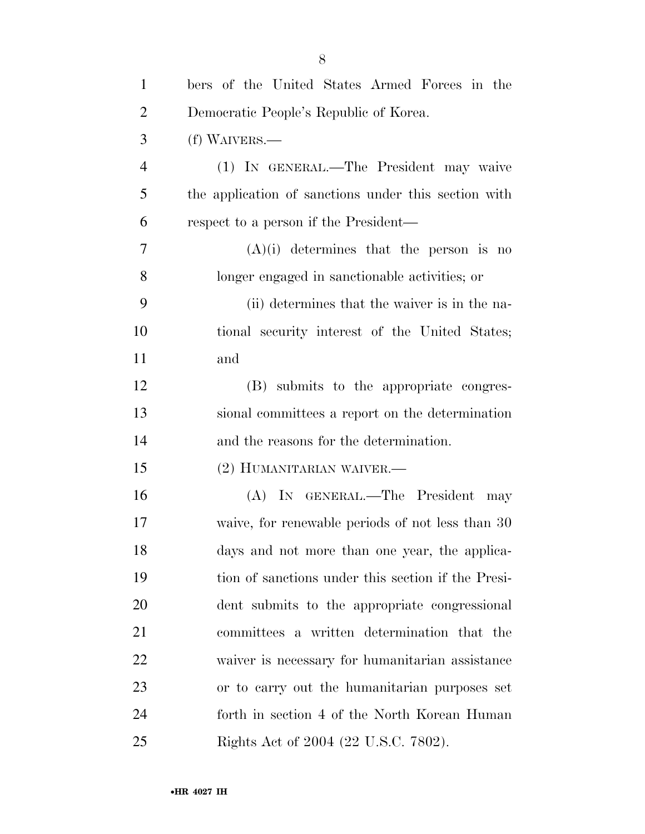| $\mathbf{1}$   | bers of the United States Armed Forces in the        |
|----------------|------------------------------------------------------|
| $\overline{2}$ | Democratic People's Republic of Korea.               |
| 3              | (f) WAIVERS.—                                        |
| $\overline{4}$ | (1) IN GENERAL.—The President may waive              |
| 5              | the application of sanctions under this section with |
| 6              | respect to a person if the President—                |
| 7              | $(A)(i)$ determines that the person is no            |
| 8              | longer engaged in sanctionable activities; or        |
| 9              | (ii) determines that the waiver is in the na-        |
| 10             | tional security interest of the United States;       |
| 11             | and                                                  |
| 12             | (B) submits to the appropriate congres-              |
| 13             | sional committees a report on the determination      |
| 14             | and the reasons for the determination.               |
| 15             | (2) HUMANITARIAN WAIVER.—                            |
| 16             | (A) IN GENERAL.—The President may                    |
| 17             | waive, for renewable periods of not less than 30     |
| 18             | days and not more than one year, the applica-        |
| 19             | tion of sanctions under this section if the Presi-   |
| 20             | dent submits to the appropriate congressional        |
| 21             | committees a written determination that the          |
| 22             | waiver is necessary for humanitarian assistance      |
| 23             | or to carry out the humanitarian purposes set        |
| 24             | forth in section 4 of the North Korean Human         |
| 25             | Rights Act of 2004 (22 U.S.C. 7802).                 |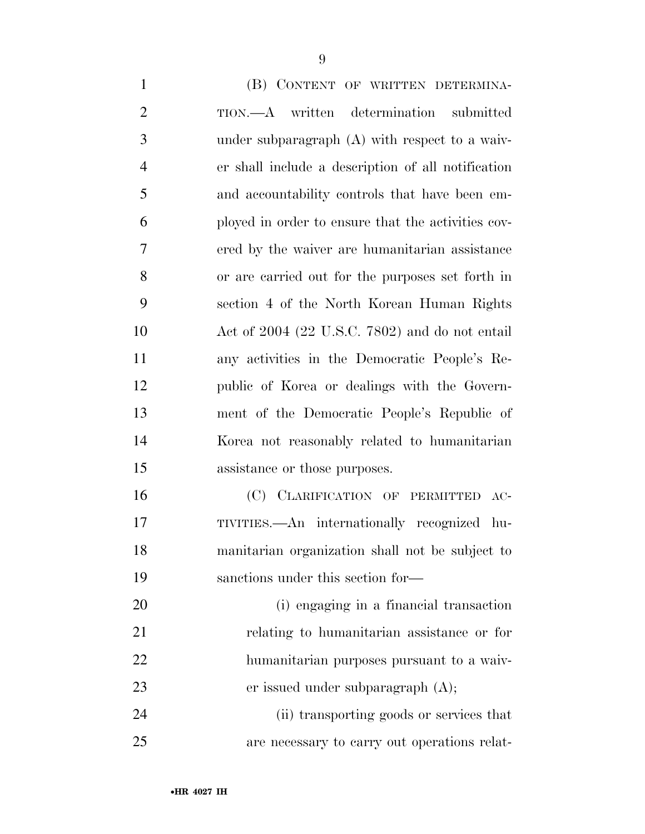| $\mathbf{1}$   | (B) CONTENT OF WRITTEN DETERMINA-                  |
|----------------|----------------------------------------------------|
| $\overline{2}$ | TION.—A written determination<br>submitted         |
| 3              | under subparagraph $(A)$ with respect to a waiv-   |
| $\overline{4}$ | er shall include a description of all notification |
| 5              | and accountability controls that have been em-     |
| 6              | ployed in order to ensure that the activities cov- |
| 7              | ered by the waiver are humanitarian assistance     |
| 8              | or are carried out for the purposes set forth in   |
| 9              | section 4 of the North Korean Human Rights         |
| 10             | Act of $2004$ (22 U.S.C. 7802) and do not entail   |
| 11             | any activities in the Democratic People's Re-      |
| 12             | public of Korea or dealings with the Govern-       |
| 13             | ment of the Democratic People's Republic of        |
| 14             | Korea not reasonably related to humanitarian       |
| 15             | assistance or those purposes.                      |
| 16             | (C) CLARIFICATION OF PERMITTED AC-                 |
| 17             | TIVITIES.—An internationally recognized hu-        |
| 18             | manitarian organization shall not be subject to    |
| 19             | sanctions under this section for—                  |
| 20             | (i) engaging in a financial transaction            |
| 21             | relating to humanitarian assistance or for         |
| 22             | humanitarian purposes pursuant to a waiv-          |
| 23             | er issued under subparagraph $(A)$ ;               |
| $2\pi$         | (ii) transporting goods or sorriggs that           |

 (ii) transporting goods or services that are necessary to carry out operations relat-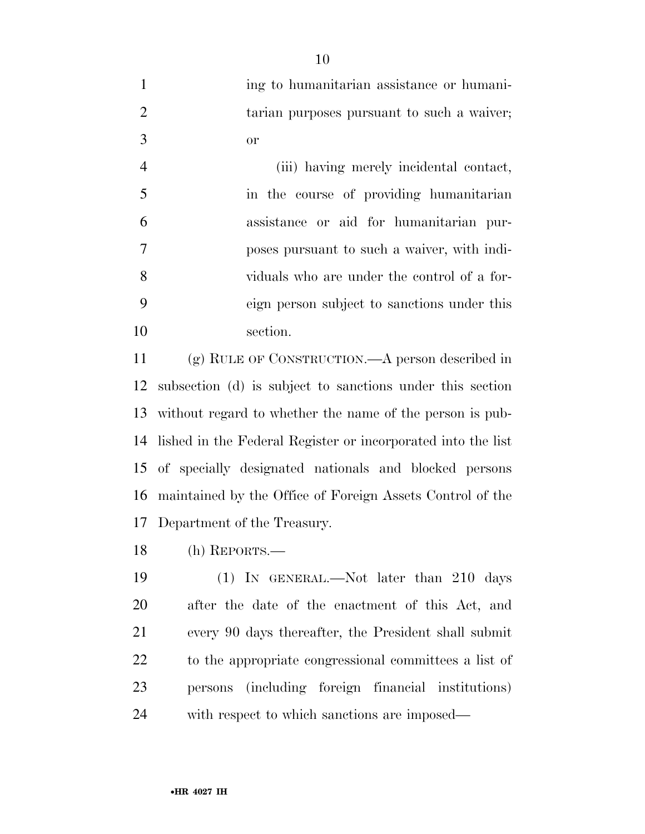| ing to humanitarian assistance or humani-  |
|--------------------------------------------|
| tarian purposes pursuant to such a waiver; |
| ∩r                                         |

|    | (iii) having merely incidental contact,     |
|----|---------------------------------------------|
| -5 | in the course of providing humanitarian     |
| 6  | assistance or aid for humanitarian pur-     |
| 7  | poses pursuant to such a waiver, with indi- |
| 8  | viduals who are under the control of a for- |
| 9  | eign person subject to sanctions under this |
| 10 | section.                                    |

 (g) RULE OF CONSTRUCTION.—A person described in subsection (d) is subject to sanctions under this section without regard to whether the name of the person is pub- lished in the Federal Register or incorporated into the list of specially designated nationals and blocked persons maintained by the Office of Foreign Assets Control of the Department of the Treasury.

(h) REPORTS.—

 (1) IN GENERAL.—Not later than 210 days after the date of the enactment of this Act, and every 90 days thereafter, the President shall submit to the appropriate congressional committees a list of persons (including foreign financial institutions) with respect to which sanctions are imposed—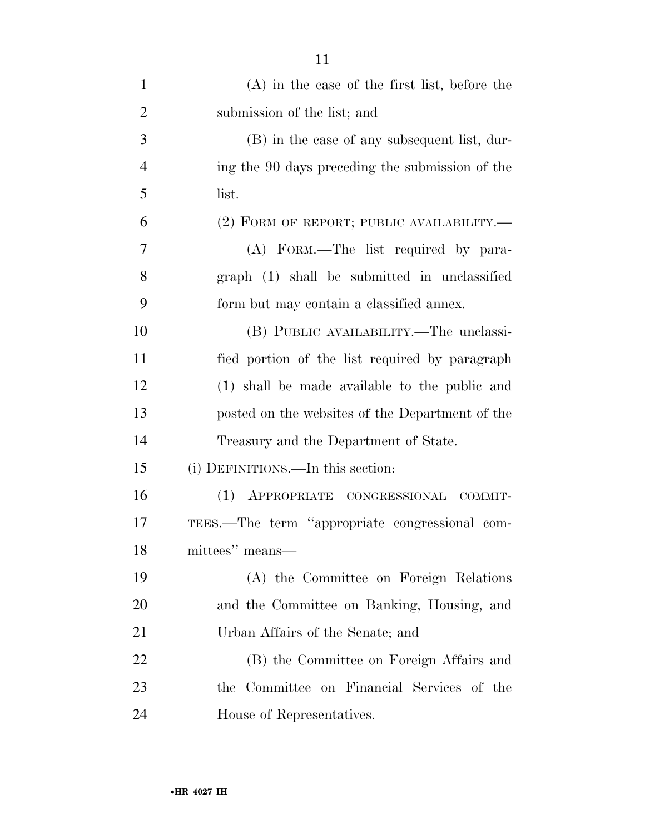| $\mathbf{1}$   | $(A)$ in the case of the first list, before the |
|----------------|-------------------------------------------------|
| $\overline{2}$ | submission of the list; and                     |
| 3              | (B) in the case of any subsequent list, dur-    |
| $\overline{4}$ | ing the 90 days preceding the submission of the |
| 5              | list.                                           |
| 6              | (2) FORM OF REPORT; PUBLIC AVAILABILITY.-       |
| $\overline{7}$ | (A) FORM.—The list required by para-            |
| 8              | graph (1) shall be submitted in unclassified    |
| 9              | form but may contain a classified annex.        |
| 10             | (B) PUBLIC AVAILABILITY.—The unclassi-          |
| 11             | fied portion of the list required by paragraph  |
| 12             | (1) shall be made available to the public and   |
| 13             | posted on the websites of the Department of the |
| 14             | Treasury and the Department of State.           |
| 15             | (i) DEFINITIONS.—In this section:               |
| 16             | (1) APPROPRIATE CONGRESSIONAL COMMIT-           |
| 17             | TEES.—The term "appropriate congressional com-  |
| 18             | mittees" means-                                 |
| 19             | (A) the Committee on Foreign Relations          |
| 20             | and the Committee on Banking, Housing, and      |
| 21             | Urban Affairs of the Senate; and                |
| 22             | (B) the Committee on Foreign Affairs and        |
| 23             | the Committee on Financial Services of the      |
| 24             | House of Representatives.                       |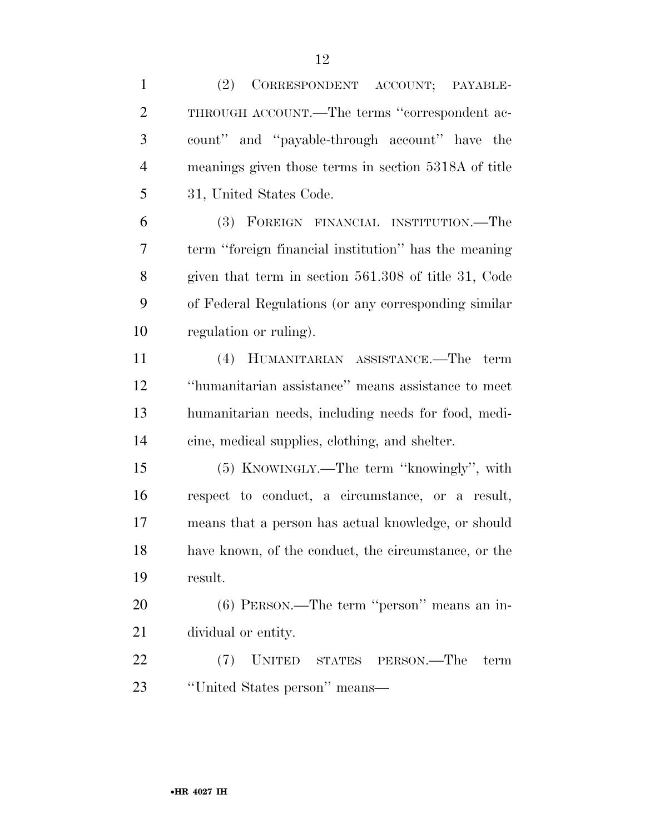| $\mathbf{1}$   | (2)<br>CORRESPONDENT ACCOUNT; PAYABLE-               |
|----------------|------------------------------------------------------|
| $\overline{2}$ | THROUGH ACCOUNT.—The terms "correspondent ac-        |
| 3              | count" and "payable-through account" have the        |
| $\overline{4}$ | meanings given those terms in section 5318A of title |
| 5              | 31, United States Code.                              |
| 6              | (3) FOREIGN FINANCIAL INSTITUTION.—The               |
| 7              | term "foreign financial institution" has the meaning |
| 8              | given that term in section 561.308 of title 31, Code |
| 9              | of Federal Regulations (or any corresponding similar |
| 10             | regulation or ruling).                               |
| 11             | (4) HUMANITARIAN ASSISTANCE.—The term                |
| 12             | "humanitarian assistance" means assistance to meet   |
| 13             | humanitarian needs, including needs for food, medi-  |
| 14             | cine, medical supplies, clothing, and shelter.       |
| 15             | (5) KNOWINGLY.—The term "knowingly", with            |
| 16             | respect to conduct, a circumstance, or a result,     |
| 17             | means that a person has actual knowledge, or should  |
| 18             | have known, of the conduct, the circumstance, or the |
| 19             | result.                                              |
| 20             | $(6)$ PERSON.—The term "person" means an in-         |
| 21             | dividual or entity.                                  |
| 22             | UNITED STATES PERSON.—The<br>(7)<br>term             |
| 23             | "United States person" means—                        |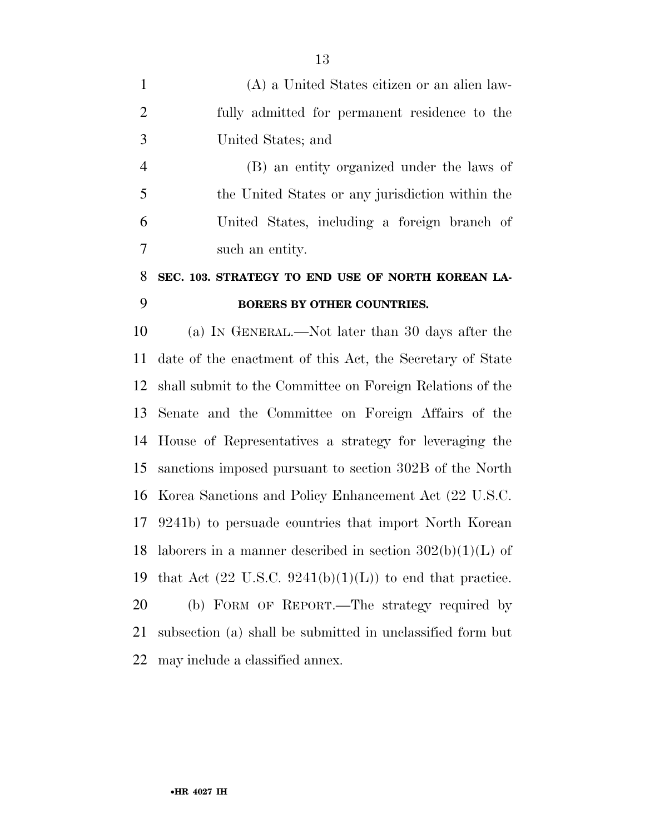|    | (A) a United States citizen or an alien law-  |
|----|-----------------------------------------------|
| 2  | fully admitted for permanent residence to the |
| -3 | United States; and                            |

 (B) an entity organized under the laws of the United States or any jurisdiction within the United States, including a foreign branch of such an entity.

## **SEC. 103. STRATEGY TO END USE OF NORTH KOREAN LA-BORERS BY OTHER COUNTRIES.**

 (a) IN GENERAL.—Not later than 30 days after the date of the enactment of this Act, the Secretary of State shall submit to the Committee on Foreign Relations of the Senate and the Committee on Foreign Affairs of the House of Representatives a strategy for leveraging the sanctions imposed pursuant to section 302B of the North Korea Sanctions and Policy Enhancement Act (22 U.S.C. 9241b) to persuade countries that import North Korean 18 laborers in a manner described in section  $302(b)(1)(L)$  of 19 that Act  $(22 \text{ U.S.C. } 9241(b)(1)(L))$  to end that practice. (b) FORM OF REPORT.—The strategy required by subsection (a) shall be submitted in unclassified form but

may include a classified annex.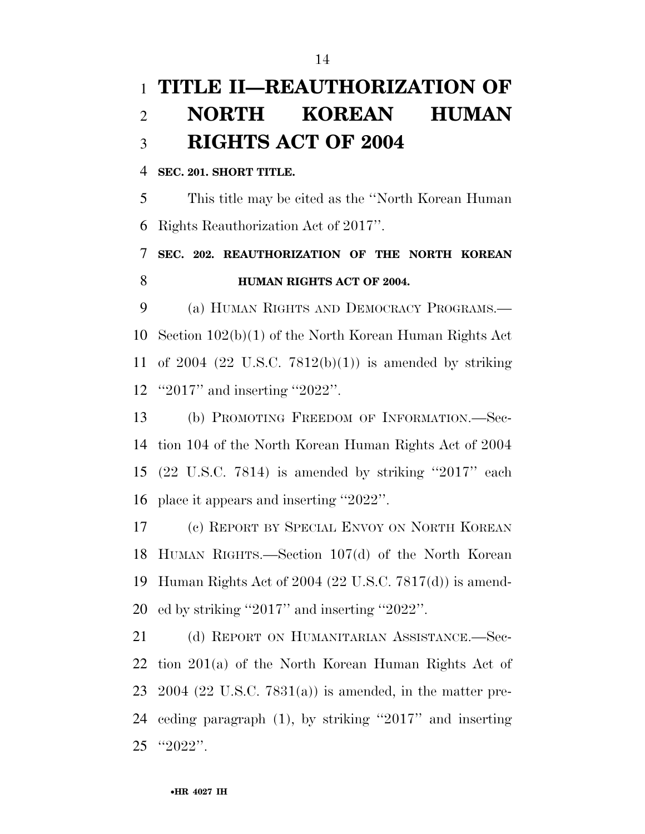## **TITLE II—REAUTHORIZATION OF NORTH KOREAN HUMAN RIGHTS ACT OF 2004**

### **SEC. 201. SHORT TITLE.**

 This title may be cited as the ''North Korean Human Rights Reauthorization Act of 2017''.

## **SEC. 202. REAUTHORIZATION OF THE NORTH KOREAN HUMAN RIGHTS ACT OF 2004.**

 (a) HUMAN RIGHTS AND DEMOCRACY PROGRAMS.— Section 102(b)(1) of the North Korean Human Rights Act of 2004 (22 U.S.C. 7812(b)(1)) is amended by striking ''2017'' and inserting ''2022''.

 (b) PROMOTING FREEDOM OF INFORMATION.—Sec- tion 104 of the North Korean Human Rights Act of 2004 (22 U.S.C. 7814) is amended by striking ''2017'' each place it appears and inserting ''2022''.

 (c) REPORT BY SPECIAL ENVOY ON NORTH KOREAN HUMAN RIGHTS.—Section 107(d) of the North Korean Human Rights Act of 2004 (22 U.S.C. 7817(d)) is amend-ed by striking ''2017'' and inserting ''2022''.

21 (d) REPORT ON HUMANITARIAN ASSISTANCE.—Sec- tion 201(a) of the North Korean Human Rights Act of 2004 (22 U.S.C. 7831(a)) is amended, in the matter pre- ceding paragraph (1), by striking ''2017'' and inserting ''2022''.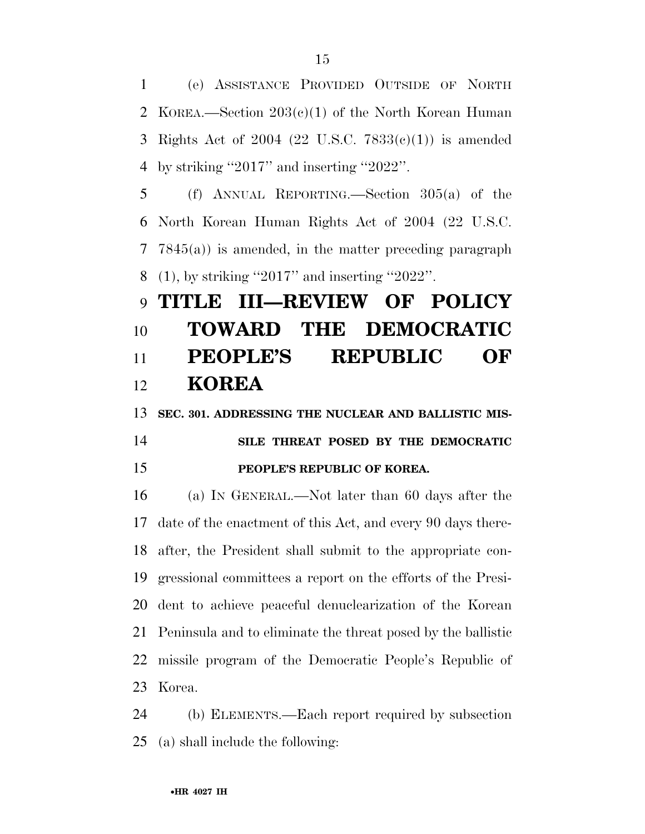(e) ASSISTANCE PROVIDED OUTSIDE OF NORTH KOREA.—Section 203(c)(1) of the North Korean Human Rights Act of 2004 (22 U.S.C. 7833(c)(1)) is amended by striking ''2017'' and inserting ''2022''.

 (f) ANNUAL REPORTING.—Section 305(a) of the North Korean Human Rights Act of 2004 (22 U.S.C. 7845(a)) is amended, in the matter preceding paragraph (1), by striking ''2017'' and inserting ''2022''.

## **TITLE III—REVIEW OF POLICY TOWARD THE DEMOCRATIC PEOPLE'S REPUBLIC OF KOREA**

 **SEC. 301. ADDRESSING THE NUCLEAR AND BALLISTIC MIS- SILE THREAT POSED BY THE DEMOCRATIC PEOPLE'S REPUBLIC OF KOREA.** 

 (a) IN GENERAL.—Not later than 60 days after the date of the enactment of this Act, and every 90 days there- after, the President shall submit to the appropriate con- gressional committees a report on the efforts of the Presi- dent to achieve peaceful denuclearization of the Korean Peninsula and to eliminate the threat posed by the ballistic missile program of the Democratic People's Republic of Korea.

 (b) ELEMENTS.—Each report required by subsection (a) shall include the following: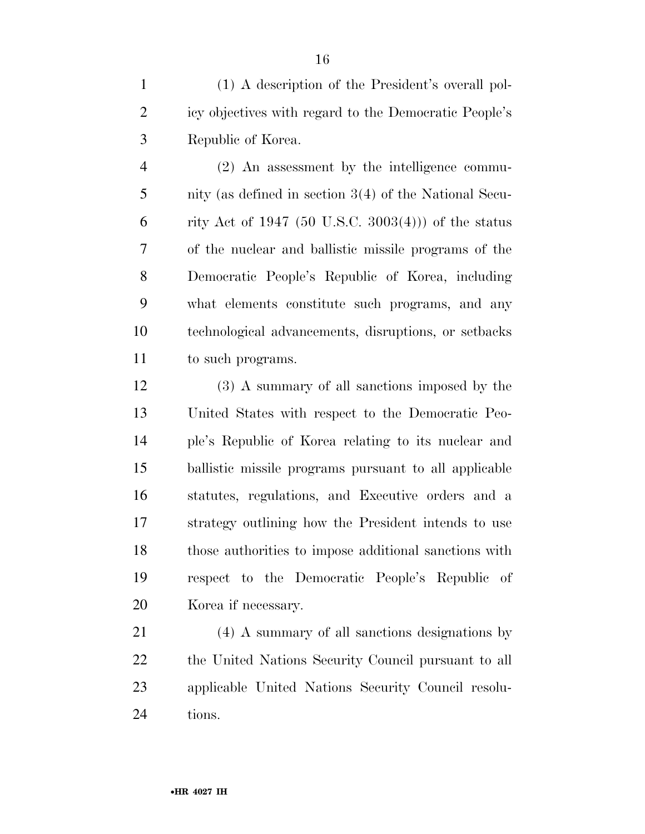(1) A description of the President's overall pol- icy objectives with regard to the Democratic People's Republic of Korea.

 (2) An assessment by the intelligence commu- nity (as defined in section 3(4) of the National Secu-6 rity Act of 1947 (50 U.S.C. 3003(4))) of the status of the nuclear and ballistic missile programs of the Democratic People's Republic of Korea, including what elements constitute such programs, and any technological advancements, disruptions, or setbacks to such programs.

 (3) A summary of all sanctions imposed by the United States with respect to the Democratic Peo- ple's Republic of Korea relating to its nuclear and ballistic missile programs pursuant to all applicable statutes, regulations, and Executive orders and a strategy outlining how the President intends to use those authorities to impose additional sanctions with respect to the Democratic People's Republic of Korea if necessary.

 (4) A summary of all sanctions designations by the United Nations Security Council pursuant to all applicable United Nations Security Council resolu-24 tions.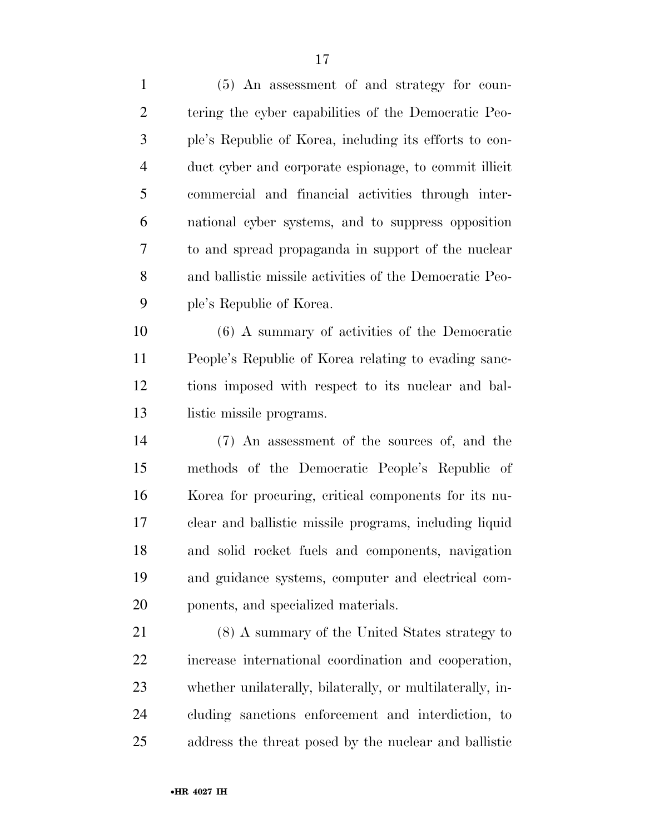(5) An assessment of and strategy for coun- tering the cyber capabilities of the Democratic Peo- ple's Republic of Korea, including its efforts to con- duct cyber and corporate espionage, to commit illicit commercial and financial activities through inter- national cyber systems, and to suppress opposition to and spread propaganda in support of the nuclear and ballistic missile activities of the Democratic Peo-ple's Republic of Korea.

 (6) A summary of activities of the Democratic People's Republic of Korea relating to evading sanc- tions imposed with respect to its nuclear and bal-13 listic missile programs.

 (7) An assessment of the sources of, and the methods of the Democratic People's Republic of Korea for procuring, critical components for its nu- clear and ballistic missile programs, including liquid and solid rocket fuels and components, navigation and guidance systems, computer and electrical com-ponents, and specialized materials.

 (8) A summary of the United States strategy to increase international coordination and cooperation, whether unilaterally, bilaterally, or multilaterally, in- cluding sanctions enforcement and interdiction, to address the threat posed by the nuclear and ballistic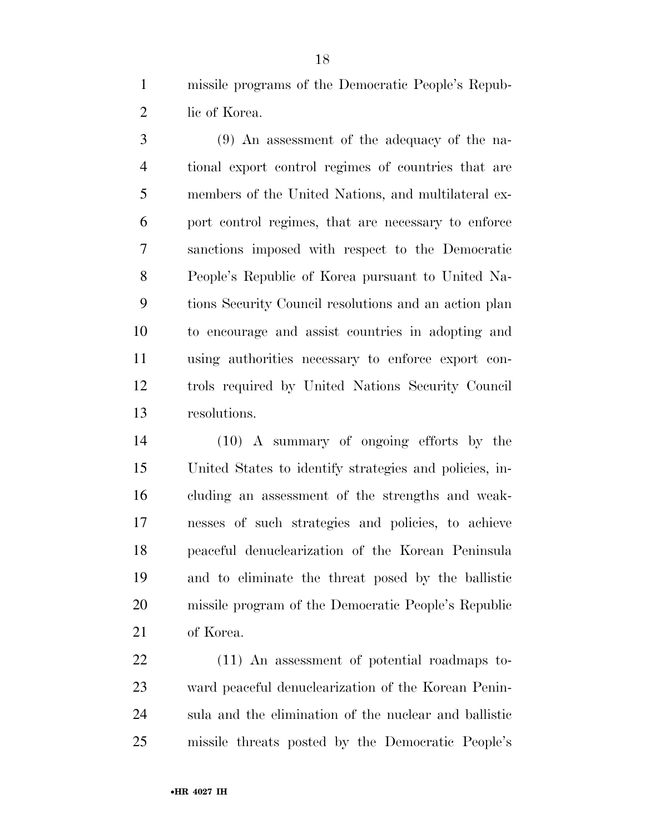missile programs of the Democratic People's Repub-2 lic of Korea.

 (9) An assessment of the adequacy of the na- tional export control regimes of countries that are members of the United Nations, and multilateral ex- port control regimes, that are necessary to enforce sanctions imposed with respect to the Democratic People's Republic of Korea pursuant to United Na- tions Security Council resolutions and an action plan to encourage and assist countries in adopting and using authorities necessary to enforce export con- trols required by United Nations Security Council resolutions.

 (10) A summary of ongoing efforts by the United States to identify strategies and policies, in- cluding an assessment of the strengths and weak- nesses of such strategies and policies, to achieve peaceful denuclearization of the Korean Peninsula and to eliminate the threat posed by the ballistic missile program of the Democratic People's Republic of Korea.

 (11) An assessment of potential roadmaps to- ward peaceful denuclearization of the Korean Penin- sula and the elimination of the nuclear and ballistic missile threats posted by the Democratic People's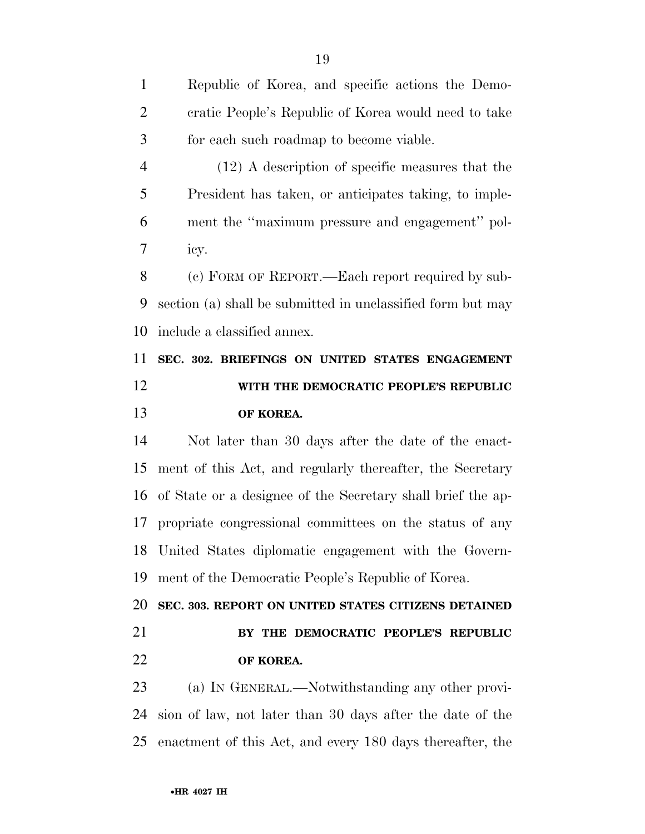Republic of Korea, and specific actions the Demo- cratic People's Republic of Korea would need to take for each such roadmap to become viable. (12) A description of specific measures that the President has taken, or anticipates taking, to imple- ment the ''maximum pressure and engagement'' pol- icy. (c) FORM OF REPORT.—Each report required by sub- section (a) shall be submitted in unclassified form but may include a classified annex. **SEC. 302. BRIEFINGS ON UNITED STATES ENGAGEMENT WITH THE DEMOCRATIC PEOPLE'S REPUBLIC OF KOREA.**  Not later than 30 days after the date of the enact- ment of this Act, and regularly thereafter, the Secretary of State or a designee of the Secretary shall brief the ap- propriate congressional committees on the status of any United States diplomatic engagement with the Govern- ment of the Democratic People's Republic of Korea. **SEC. 303. REPORT ON UNITED STATES CITIZENS DETAINED BY THE DEMOCRATIC PEOPLE'S REPUBLIC OF KOREA.**  (a) IN GENERAL.—Notwithstanding any other provi- sion of law, not later than 30 days after the date of the enactment of this Act, and every 180 days thereafter, the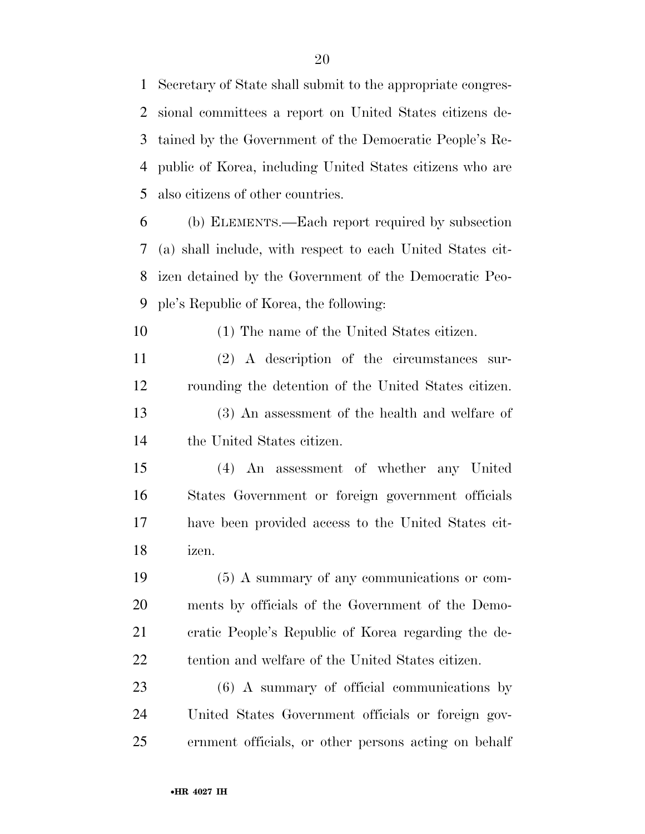Secretary of State shall submit to the appropriate congres- sional committees a report on United States citizens de- tained by the Government of the Democratic People's Re- public of Korea, including United States citizens who are also citizens of other countries.

 (b) ELEMENTS.—Each report required by subsection (a) shall include, with respect to each United States cit- izen detained by the Government of the Democratic Peo-ple's Republic of Korea, the following:

(1) The name of the United States citizen.

 (2) A description of the circumstances sur- rounding the detention of the United States citizen. (3) An assessment of the health and welfare of

the United States citizen.

 (4) An assessment of whether any United States Government or foreign government officials have been provided access to the United States cit-izen.

 (5) A summary of any communications or com- ments by officials of the Government of the Demo- cratic People's Republic of Korea regarding the de-tention and welfare of the United States citizen.

 (6) A summary of official communications by United States Government officials or foreign gov-ernment officials, or other persons acting on behalf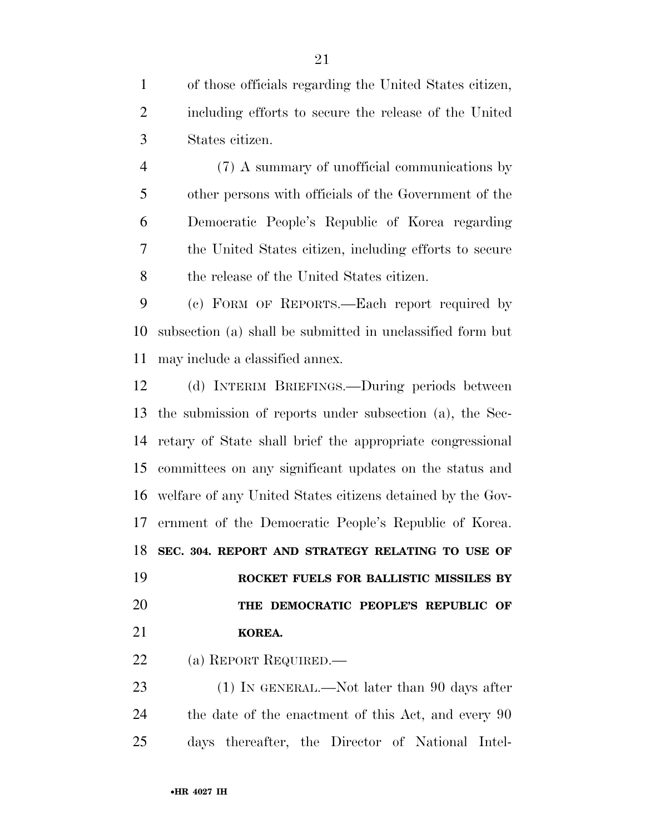of those officials regarding the United States citizen, including efforts to secure the release of the United States citizen.

 (7) A summary of unofficial communications by other persons with officials of the Government of the Democratic People's Republic of Korea regarding the United States citizen, including efforts to secure the release of the United States citizen.

 (c) FORM OF REPORTS.—Each report required by subsection (a) shall be submitted in unclassified form but may include a classified annex.

 (d) INTERIM BRIEFINGS.—During periods between the submission of reports under subsection (a), the Sec- retary of State shall brief the appropriate congressional committees on any significant updates on the status and welfare of any United States citizens detained by the Gov- ernment of the Democratic People's Republic of Korea. **SEC. 304. REPORT AND STRATEGY RELATING TO USE OF ROCKET FUELS FOR BALLISTIC MISSILES BY THE DEMOCRATIC PEOPLE'S REPUBLIC OF KOREA.** 

(a) REPORT REQUIRED.—

23 (1) IN GENERAL.—Not later than 90 days after the date of the enactment of this Act, and every 90 days thereafter, the Director of National Intel-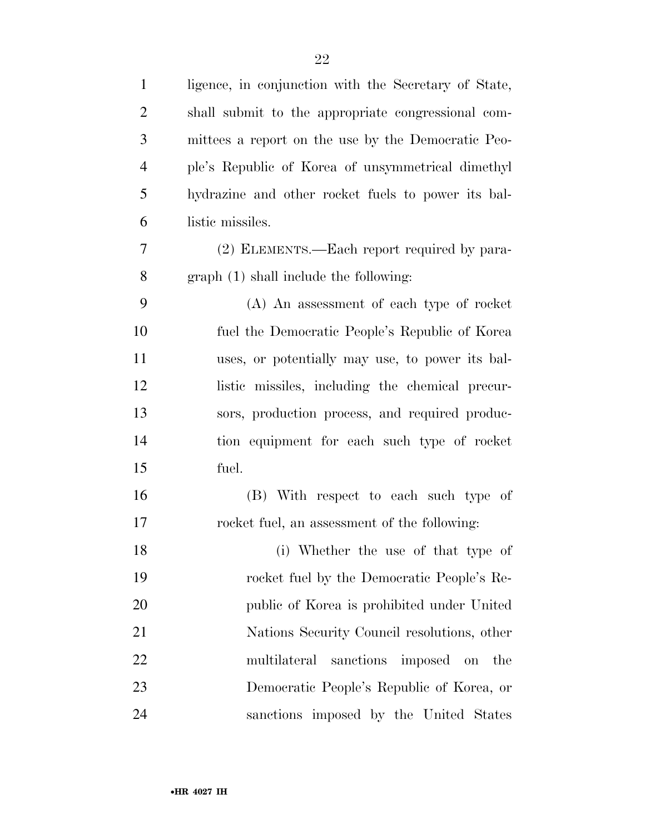| $\mathbf{1}$   | ligence, in conjunction with the Secretary of State, |
|----------------|------------------------------------------------------|
| $\overline{2}$ | shall submit to the appropriate congressional com-   |
| 3              | mittees a report on the use by the Democratic Peo-   |
| $\overline{4}$ | ple's Republic of Korea of unsymmetrical dimethyl    |
| 5              | hydrazine and other rocket fuels to power its bal-   |
| 6              | listic missiles.                                     |
| 7              | (2) ELEMENTS.—Each report required by para-          |
| 8              | graph(1) shall include the following:                |
| 9              | (A) An assessment of each type of rocket             |
| 10             | fuel the Democratic People's Republic of Korea       |
| 11             | uses, or potentially may use, to power its bal-      |
| 12             | listic missiles, including the chemical precur-      |
| 13             | sors, production process, and required produc-       |
| 14             | tion equipment for each such type of rocket          |
| 15             | fuel.                                                |
| 16             | (B) With respect to each such type of                |
| 17             | rocket fuel, an assessment of the following:         |
| 18             | (i) Whether the use of that type of                  |
| 19             | rocket fuel by the Democratic People's Re-           |
| 20             | public of Korea is prohibited under United           |
| 21             | Nations Security Council resolutions, other          |
| 22             | multilateral<br>sanctions<br>imposed on<br>the       |
| 23             | Democratic People's Republic of Korea, or            |
| 24             | sanctions imposed by the United States               |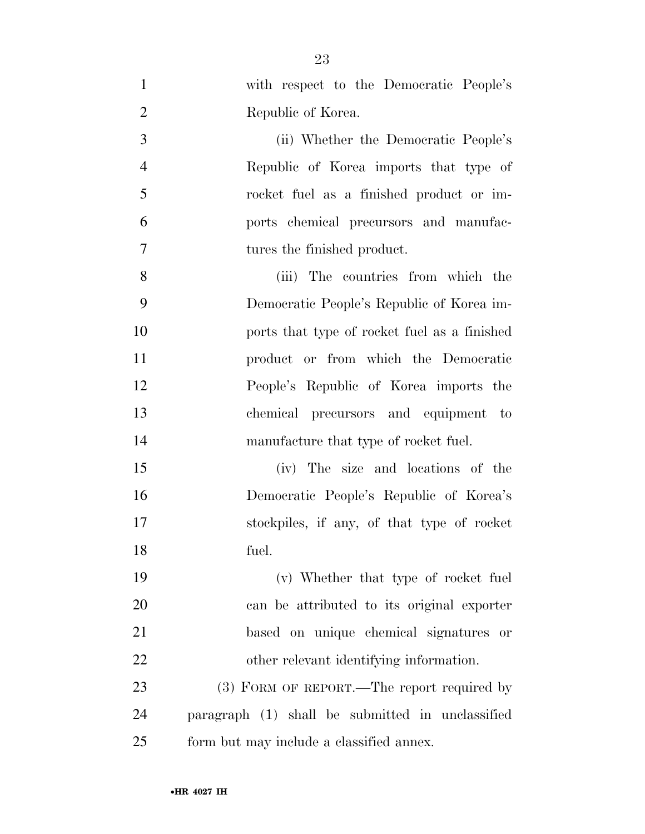| $\mathbf{1}$   | with respect to the Democratic People's          |
|----------------|--------------------------------------------------|
| $\overline{2}$ | Republic of Korea.                               |
| 3              | (ii) Whether the Democratic People's             |
| $\overline{4}$ | Republic of Korea imports that type of           |
| 5              | rocket fuel as a finished product or im-         |
| 6              | ports chemical precursors and manufac-           |
| $\overline{7}$ | tures the finished product.                      |
| 8              | (iii) The countries from which the               |
| 9              | Democratic People's Republic of Korea im-        |
| 10             | ports that type of rocket fuel as a finished     |
| 11             | product or from which the Democratic             |
| 12             | People's Republic of Korea imports the           |
| 13             | chemical precursors and equipment to             |
| 14             | manufacture that type of rocket fuel.            |
| 15             | (iv) The size and locations of the               |
| 16             | Democratic People's Republic of Korea's          |
| 17             | stockpiles, if any, of that type of rocket       |
| 18             | fuel.                                            |
| 19             | (v) Whether that type of rocket fuel             |
| 20             | can be attributed to its original exporter       |
| 21             | based on unique chemical signatures or           |
| 22             | other relevant identifying information.          |
| 23             | (3) FORM OF REPORT.—The report required by       |
| 24             | paragraph (1) shall be submitted in unclassified |
| 25             | form but may include a classified annex.         |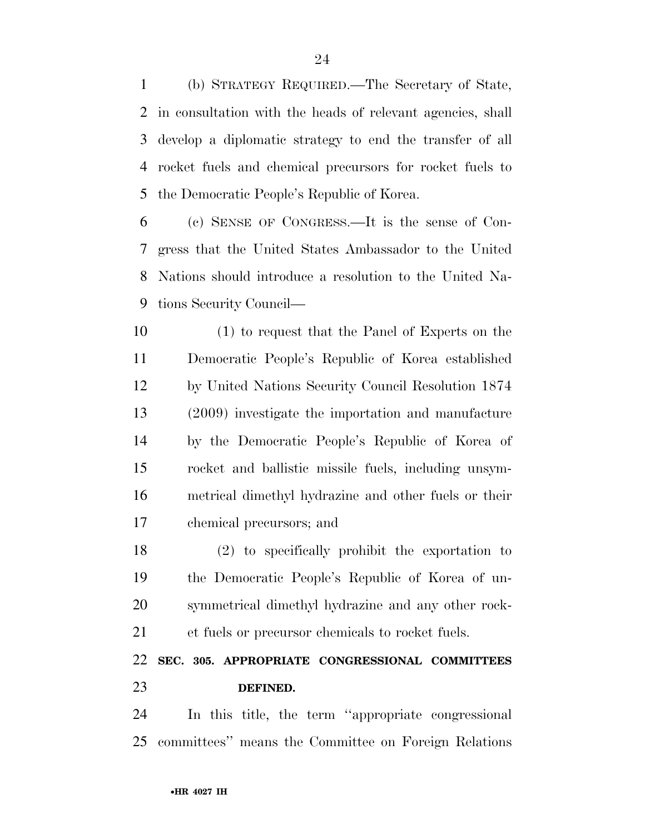(b) STRATEGY REQUIRED.—The Secretary of State, in consultation with the heads of relevant agencies, shall develop a diplomatic strategy to end the transfer of all rocket fuels and chemical precursors for rocket fuels to the Democratic People's Republic of Korea.

 (c) SENSE OF CONGRESS.—It is the sense of Con- gress that the United States Ambassador to the United Nations should introduce a resolution to the United Na-tions Security Council—

 (1) to request that the Panel of Experts on the Democratic People's Republic of Korea established by United Nations Security Council Resolution 1874 (2009) investigate the importation and manufacture by the Democratic People's Republic of Korea of rocket and ballistic missile fuels, including unsym- metrical dimethyl hydrazine and other fuels or their chemical precursors; and

 (2) to specifically prohibit the exportation to the Democratic People's Republic of Korea of un- symmetrical dimethyl hydrazine and any other rock-et fuels or precursor chemicals to rocket fuels.

## **SEC. 305. APPROPRIATE CONGRESSIONAL COMMITTEES DEFINED.**

 In this title, the term ''appropriate congressional committees'' means the Committee on Foreign Relations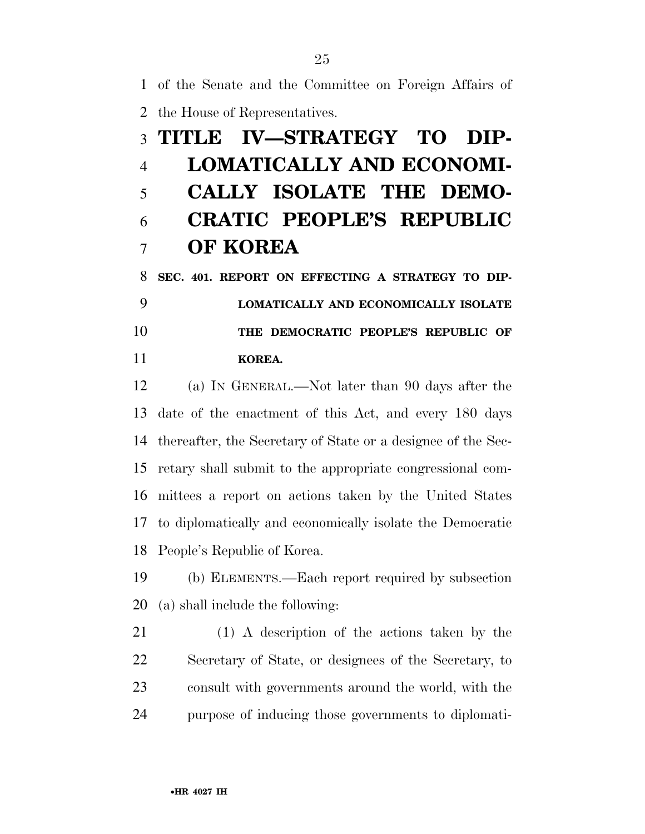of the Senate and the Committee on Foreign Affairs of

the House of Representatives.

# **TITLE IV—STRATEGY TO DIP- LOMATICALLY AND ECONOMI- CALLY ISOLATE THE DEMO- CRATIC PEOPLE'S REPUBLIC OF KOREA**

 **SEC. 401. REPORT ON EFFECTING A STRATEGY TO DIP- LOMATICALLY AND ECONOMICALLY ISOLATE THE DEMOCRATIC PEOPLE'S REPUBLIC OF KOREA.** 

 (a) IN GENERAL.—Not later than 90 days after the date of the enactment of this Act, and every 180 days thereafter, the Secretary of State or a designee of the Sec- retary shall submit to the appropriate congressional com- mittees a report on actions taken by the United States to diplomatically and economically isolate the Democratic People's Republic of Korea.

 (b) ELEMENTS.—Each report required by subsection (a) shall include the following:

 (1) A description of the actions taken by the Secretary of State, or designees of the Secretary, to consult with governments around the world, with the purpose of inducing those governments to diplomati-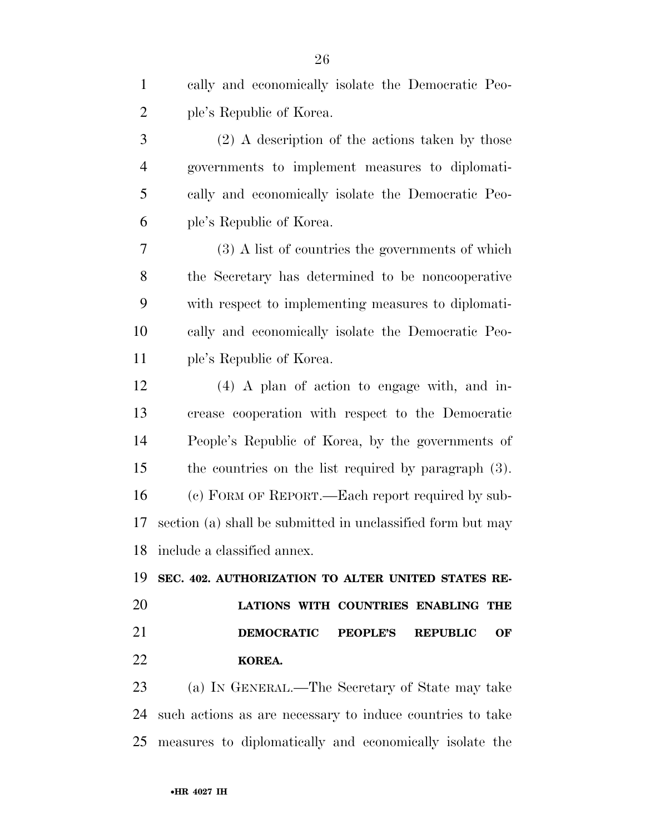| $\mathbf{1}$   | cally and economically isolate the Democratic Peo-            |
|----------------|---------------------------------------------------------------|
| $\overline{2}$ | ple's Republic of Korea.                                      |
| $\mathfrak{Z}$ | $(2)$ A description of the actions taken by those             |
| $\overline{4}$ | governments to implement measures to diplomati-               |
| 5              | cally and economically isolate the Democratic Peo-            |
| 6              | ple's Republic of Korea.                                      |
| 7              | (3) A list of countries the governments of which              |
| 8              | the Secretary has determined to be noncooperative             |
| 9              | with respect to implementing measures to diplomati-           |
| 10             | cally and economically isolate the Democratic Peo-            |
| 11             | ple's Republic of Korea.                                      |
| 12             | $(4)$ A plan of action to engage with, and in-                |
| 13             | crease cooperation with respect to the Democratic             |
| 14             | People's Republic of Korea, by the governments of             |
| 15             | the countries on the list required by paragraph (3).          |
| 16             | (c) FORM OF REPORT. - Each report required by sub-            |
| 17             | section (a) shall be submitted in unclassified form but may   |
|                | 18 include a classified annex.                                |
| 19             | SEC. 402. AUTHORIZATION TO ALTER UNITED STATES RE-            |
| 20             | LATIONS WITH COUNTRIES ENABLING THE                           |
| 21             | <b>DEMOCRATIC</b><br><b>PEOPLE'S</b><br><b>REPUBLIC</b><br>OF |
| 22             | KOREA.                                                        |
| 23             | (a) IN GENERAL.—The Secretary of State may take               |
| 24             | such actions as are necessary to induce countries to take     |
| 25             | measures to diplomatically and economically isolate the       |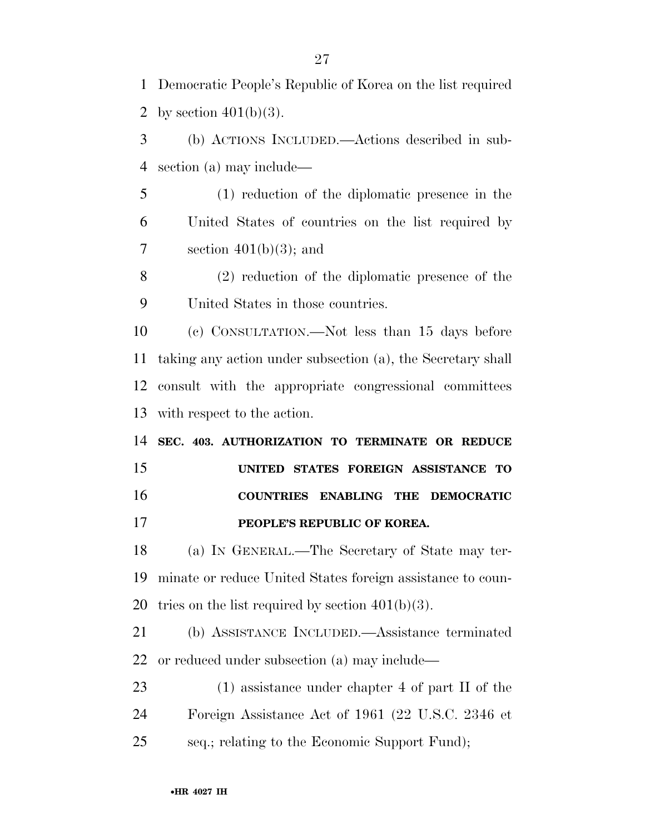Democratic People's Republic of Korea on the list required 2 by section  $401(b)(3)$ .

 (b) ACTIONS INCLUDED.—Actions described in sub-section (a) may include—

 (1) reduction of the diplomatic presence in the United States of countries on the list required by 7 section  $401(b)(3)$ ; and

 (2) reduction of the diplomatic presence of the United States in those countries.

 (c) CONSULTATION.—Not less than 15 days before taking any action under subsection (a), the Secretary shall consult with the appropriate congressional committees with respect to the action.

 **SEC. 403. AUTHORIZATION TO TERMINATE OR REDUCE UNITED STATES FOREIGN ASSISTANCE TO COUNTRIES ENABLING THE DEMOCRATIC** 

**PEOPLE'S REPUBLIC OF KOREA.** 

 (a) IN GENERAL.—The Secretary of State may ter- minate or reduce United States foreign assistance to coun-20 tries on the list required by section  $401(b)(3)$ .

 (b) ASSISTANCE INCLUDED.—Assistance terminated or reduced under subsection (a) may include—

23 (1) assistance under chapter 4 of part II of the Foreign Assistance Act of 1961 (22 U.S.C. 2346 et seq.; relating to the Economic Support Fund);